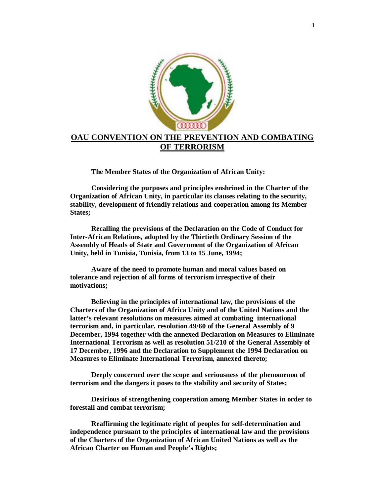

# **OAU CONVENTION ON THE PREVENTION AND COMBATING OF TERRORISM**

**The Member States of the Organization of African Unity:**

**Considering the purposes and principles enshrined in the Charter of the Organization of African Unity, in particular its clauses relating to the security, stability, development of friendly relations and cooperation among its Member States;**

**Recalling the previsions of the Declaration on the Code of Conduct for Inter-African Relations, adopted by the Thirtieth Ordinary Session of the Assembly of Heads of State and Government of the Organization of African Unity, held in Tunisia, Tunisia, from 13 to 15 June, 1994;**

**Aware of the need to promote human and moral values based on tolerance and rejection of all forms of terrorism irrespective of their motivations;**

**Believing in the principles of international law, the provisions of the Charters of the Organization of Africa Unity and of the United Nations and the latter's relevant resolutions on measures aimed at combating international terrorism and, in particular, resolution 49/60 of the General Assembly of 9 December, 1994 together with the annexed Declaration on Measures to Eliminate International Terrorism as well as resolution 51/210 of the General Assembly of 17 December, 1996 and the Declaration to Supplement the 1994 Declaration on Measures to Eliminate International Terrorism, annexed thereto;**

**Deeply concerned over the scope and seriousness of the phenomenon of terrorism and the dangers it poses to the stability and security of States;**

**Desirious of strengthening cooperation among Member States in order to forestall and combat terrorism;**

**Reaffirming the legitimate right of peoples for self-determination and independence pursuant to the principles of international law and the provisions of the Charters of the Organization of African United Nations as well as the African Charter on Human and People's Rights;**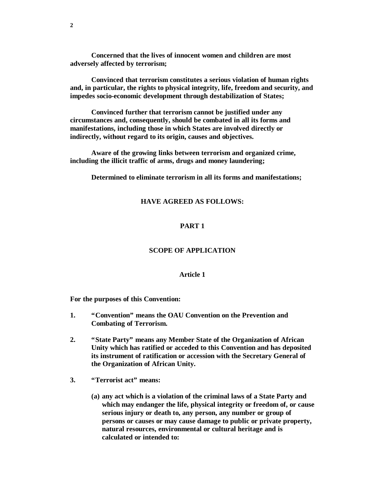**Concerned that the lives of innocent women and children are most adversely affected by terrorism;**

**Convinced that terrorism constitutes a serious violation of human rights and, in particular, the rights to physical integrity, life, freedom and security, and impedes socio-economic development through destabilization of States;**

**Convinced further that terrorism cannot be justified under any circumstances and, consequently, should be combated in all its forms and manifestations, including those in which States are involved directly or indirectly, without regard to its origin, causes and objectives.**

**Aware of the growing links between terrorism and organized crime, including the illicit traffic of arms, drugs and money laundering;**

**Determined to eliminate terrorism in all its forms and manifestations;**

### **HAVE AGREED AS FOLLOWS:**

#### **PART 1**

#### **SCOPE OF APPLICATION**

#### **Article 1**

**For the purposes of this Convention:**

- **1. "Convention" means the OAU Convention on the Prevention and Combating of Terrorism.**
- **2. "State Party" means any Member State of the Organization of African Unity which has ratified or acceded to this Convention and has deposited its instrument of ratification or accession with the Secretary General of the Organization of African Unity.**
- **3. "Terrorist act" means:**
	- **(a) any act which is a violation of the criminal laws of a State Party and which may endanger the life, physical integrity or freedom of, or cause serious injury or death to, any person, any number or group of persons or causes or may cause damage to public or private property, natural resources, environmental or cultural heritage and is calculated or intended to:**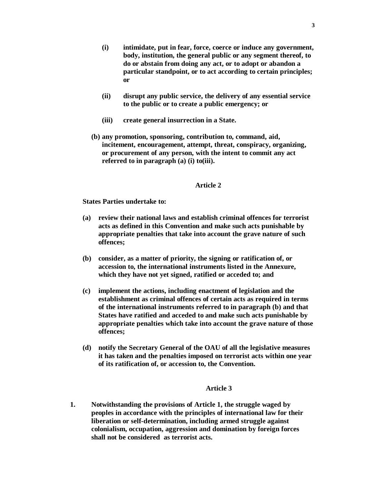- **(i) intimidate, put in fear, force, coerce or induce any government, body, institution, the general public or any segment thereof, to do or abstain from doing any act, or to adopt or abandon a particular standpoint, or to act according to certain principles; or**
- **(ii) disrupt any public service, the delivery of any essential service to the public or to create a public emergency; or**
- **(iii) create general insurrection in a State.**
- **(b) any promotion, sponsoring, contribution to, command, aid, incitement, encouragement, attempt, threat, conspiracy, organizing, or procurement of any person, with the intent to commit any act referred to in paragraph (a) (i) to(iii).**

**States Parties undertake to:**

- **(a) review their national laws and establish criminal offences for terrorist acts as defined in this Convention and make such acts punishable by appropriate penalties that take into account the grave nature of such offences;**
- **(b) consider, as a matter of priority, the signing or ratification of, or accession to, the international instruments listed in the Annexure, which they have not yet signed, ratified or acceded to; and**
- **(c) implement the actions, including enactment of legislation and the establishment as criminal offences of certain acts as required in terms of the international instruments referred to in paragraph (b) and that States have ratified and acceded to and make such acts punishable by appropriate penalties which take into account the grave nature of those offences;**
- **(d) notify the Secretary General of the OAU of all the legislative measures it has taken and the penalties imposed on terrorist acts within one year of its ratification of, or accession to, the Convention.**

#### **Article 3**

**1. Notwithstanding the provisions of Article 1, the struggle waged by peoples in accordance with the principles of international law for their liberation or self-determination, including armed struggle against colonialism, occupation, aggression and domination by foreign forces shall not be considered as terrorist acts.**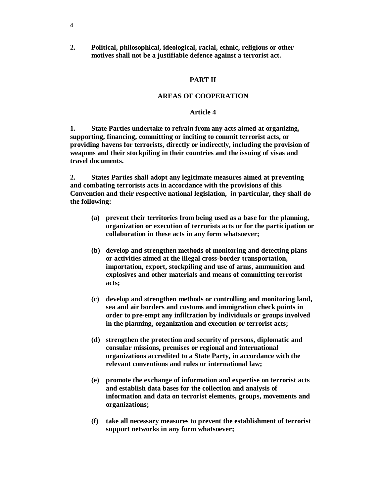**2. Political, philosophical, ideological, racial, ethnic, religious or other motives shall not be a justifiable defence against a terrorist act.**

### **PART II**

### **AREAS OF COOPERATION**

### **Article 4**

**1. State Parties undertake to refrain from any acts aimed at organizing, supporting, financing, committing or inciting to commit terrorist acts, or providing havens for terrorists, directly or indirectly, including the provision of weapons and their stockpiling in their countries and the issuing of visas and travel documents.**

**2. States Parties shall adopt any legitimate measures aimed at preventing and combating terrorists acts in accordance with the provisions of this Convention and their respective national legislation, in particular, they shall do the following:**

- **(a) prevent their territories from being used as a base for the planning, organization or execution of terrorists acts or for the participation or collaboration in these acts in any form whatsoever;**
- **(b) develop and strengthen methods of monitoring and detecting plans or activities aimed at the illegal cross-border transportation, importation, export, stockpiling and use of arms, ammunition and explosives and other materials and means of committing terrorist acts;**
- **(c) develop and strengthen methods or controlling and monitoring land, sea and air borders and customs and immigration check points in order to pre-empt any infiltration by individuals or groups involved in the planning, organization and execution or terrorist acts;**
- **(d) strengthen the protection and security of persons, diplomatic and consular missions, premises or regional and international organizations accredited to a State Party, in accordance with the relevant conventions and rules or international law;**
- **(e) promote the exchange of information and expertise on terrorist acts and establish data bases for the collection and analysis of information and data on terrorist elements, groups, movements and organizations;**
- **(f) take all necessary measures to prevent the establishment of terrorist support networks in any form whatsoever;**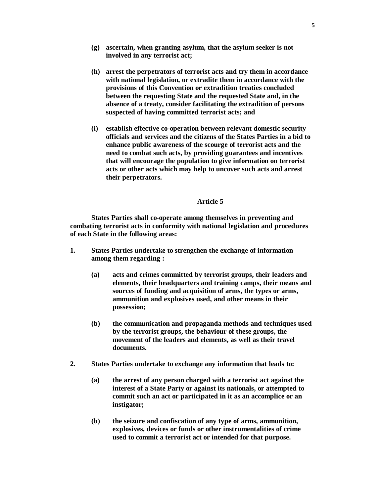- **(g) ascertain, when granting asylum, that the asylum seeker is not involved in any terrorist act;**
- **(h) arrest the perpetrators of terrorist acts and try them in accordance with national legislation, or extradite them in accordance with the provisions of this Convention or extradition treaties concluded between the requesting State and the requested State and, in the absence of a treaty, consider facilitating the extradition of persons suspected of having committed terrorist acts; and**
- **(i) establish effective co-operation between relevant domestic security officials and services and the citizens of the States Parties in a bid to enhance public awareness of the scourge of terrorist acts and the need to combat such acts, by providing guarantees and incentives that will encourage the population to give information on terrorist acts or other acts which may help to uncover such acts and arrest their perpetrators.**

**States Parties shall co-operate among themselves in preventing and combating terrorist acts in conformity with national legislation and procedures of each State in the following areas:**

- **1. States Parties undertake to strengthen the exchange of information among them regarding :**
	- **(a) acts and crimes committed by terrorist groups, their leaders and elements, their headquarters and training camps, their means and sources of funding and acquisition of arms, the types or arms, ammunition and explosives used, and other means in their possession;**
	- **(b) the communication and propaganda methods and techniques used by the terrorist groups, the behaviour of these groups, the movement of the leaders and elements, as well as their travel documents.**
- **2. States Parties undertake to exchange any information that leads to:**
	- **(a) the arrest of any person charged with a terrorist act against the interest of a State Party or against its nationals, or attempted to commit such an act or participated in it as an accomplice or an instigator;**
	- **(b) the seizure and confiscation of any type of arms, ammunition, explosives, devices or funds or other instrumentalities of crime used to commit a terrorist act or intended for that purpose.**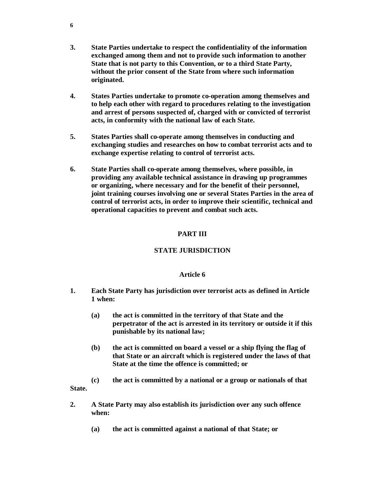- **3. State Parties undertake to respect the confidentiality of the information exchanged among them and not to provide such information to another State that is not party to this Convention, or to a third State Party, without the prior consent of the State from where such information originated.**
- **4. States Parties undertake to promote co-operation among themselves and to help each other with regard to procedures relating to the investigation and arrest of persons suspected of, charged with or convicted of terrorist acts, in conformity with the national law of each State.**
- **5. States Parties shall co-operate among themselves in conducting and exchanging studies and researches on how to combat terrorist acts and to exchange expertise relating to control of terrorist acts.**
- **6. State Parties shall co-operate among themselves, where possible, in providing any available technical assistance in drawing up programmes or organizing, where necessary and for the benefit of their personnel, joint training courses involving one or several States Parties in the area of control of terrorist acts, in order to improve their scientific, technical and operational capacities to prevent and combat such acts.**

# **PART III**

# **STATE JURISDICTION**

### **Article 6**

- **1. Each State Party has jurisdiction over terrorist acts as defined in Article 1 when:**
	- **(a) the act is committed in the territory of that State and the perpetrator of the act is arrested in its territory or outside it if this punishable by its national law;**
	- **(b) the act is committed on board a vessel or a ship flying the flag of that State or an aircraft which is registered under the laws of that State at the time the offence is committed; or**
- **(c) the act is committed by a national or a group or nationals of that State.**
- **2. A State Party may also establish its jurisdiction over any such offence when:**
	- **(a) the act is committed against a national of that State; or**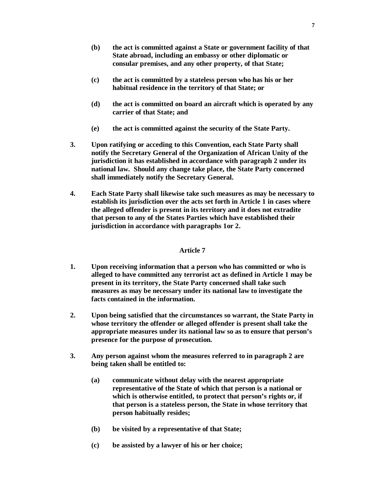- **(b) the act is committed against a State or government facility of that State abroad, including an embassy or other diplomatic or consular premises, and any other property, of that State;**
- **(c) the act is committed by a stateless person who has his or her habitual residence in the territory of that State; or**
- **(d) the act is committed on board an aircraft which is operated by any carrier of that State; and**
- **(e) the act is committed against the security of the State Party.**
- **3. Upon ratifying or acceding to this Convention, each State Party shall notify the Secretary General of the Organization of African Unity of the jurisdiction it has established in accordance with paragraph 2 under its national law. Should any change take place, the State Party concerned shall immediately notify the Secretary General.**
- **4. Each State Party shall likewise take such measures as may be necessary to establish its jurisdiction over the acts set forth in Article 1 in cases where the alleged offender is present in its territory and it does not extradite that person to any of the States Parties which have established their jurisdiction in accordance with paragraphs 1or 2.**

- **1. Upon receiving information that a person who has committed or who is alleged to have committed any terrorist act as defined in Article 1 may be present in its territory, the State Party concerned shall take such measures as may be necessary under its national law to investigate the facts contained in the information.**
- **2. Upon being satisfied that the circumstances so warrant, the State Party in whose territory the offender or alleged offender is present shall take the appropriate measures under its national law so as to ensure that person's presence for the purpose of prosecution.**
- **3. Any person against whom the measures referred to in paragraph 2 are being taken shall be entitled to:**
	- **(a) communicate without delay with the nearest appropriate representative of the State of which that person is a national or which is otherwise entitled, to protect that person's rights or, if that person is a stateless person, the State in whose territory that person habitually resides;**
	- **(b) be visited by a representative of that State;**
	- **(c) be assisted by a lawyer of his or her choice;**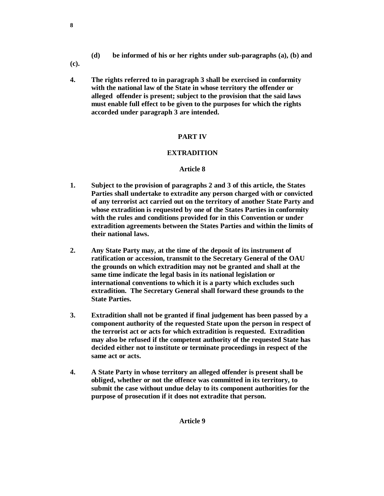- **(d) be informed of his or her rights under sub-paragraphs (a), (b) and**
- **(c).**
- **4. The rights referred to in paragraph 3 shall be exercised in conformity with the national law of the State in whose territory the offender or alleged offender is present; subject to the provision that the said laws must enable full effect to be given to the purposes for which the rights accorded under paragraph 3 are intended.**

# **PART IV**

# **EXTRADITION**

# **Article 8**

- **1. Subject to the provision of paragraphs 2 and 3 of this article, the States Parties shall undertake to extradite any person charged with or convicted of any terrorist act carried out on the territory of another State Party and whose extradition is requested by one of the States Parties in conformity with the rules and conditions provided for in this Convention or under extradition agreements between the States Parties and within the limits of their national laws.**
- **2. Any State Party may, at the time of the deposit of its instrument of ratification or accession, transmit to the Secretary General of the OAU the grounds on which extradition may not be granted and shall at the same time indicate the legal basis in its national legislation or international conventions to which it is a party which excludes such extradition. The Secretary General shall forward these grounds to the State Parties.**
- **3. Extradition shall not be granted if final judgement has been passed by a component authority of the requested State upon the person in respect of the terrorist act or acts for which extradition is requested. Extradition may also be refused if the competent authority of the requested State has decided either not to institute or terminate proceedings in respect of the same act or acts.**
- **4. A State Party in whose territory an alleged offender is present shall be obliged, whether or not the offence was committed in its territory, to submit the case without undue delay to its component authorities for the purpose of prosecution if it does not extradite that person.**

**8**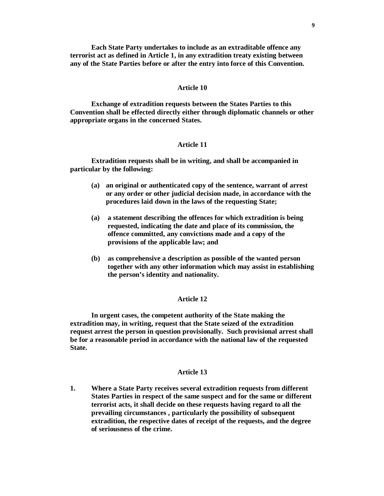**Each State Party undertakes to include as an extraditable offence any terrorist act as defined in Article 1, in any extradition treaty existing between any of the State Parties before or after the entry into force of this Convention.**

#### **Article 10**

**Exchange of extradition requests between the States Parties to this Convention shall be effected directly either through diplomatic channels or other appropriate organs in the concerned States.**

### **Article 11**

**Extradition requests shall be in writing, and shall be accompanied in particular by the following:**

- **(a) an original or authenticated copy of the sentence, warrant of arrest or any order or other judicial decision made, in accordance with the procedures laid down in the laws of the requesting State;**
- **(a) a statement describing the offences for which extradition is being requested, indicating the date and place of its commission, the offence committed, any convictions made and a copy of the provisions of the applicable law; and**
- **(b) as comprehensive a description as possible of the wanted person together with any other information which may assist in establishing the person's identity and nationality.**

#### **Article 12**

**In urgent cases, the competent authority of the State making the extradition may, in writing, request that the State seized of the extradition request arrest the person in question provisionally. Such provisional arrest shall be for a reasonable period in accordance with the national law of the requested State.**

#### **Article 13**

**1. Where a State Party receives several extradition requests from different States Parties in respect of the same suspect and for the same or different terrorist acts, it shall decide on these requests having regard to all the prevailing circumstances , particularly the possibility of subsequent extradition, the respective dates of receipt of the requests, and the degree of seriousness of the crime.**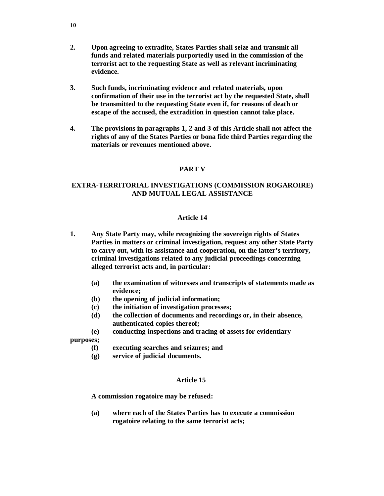- **2. Upon agreeing to extradite, States Parties shall seize and transmit all funds and related materials purportedly used in the commission of the terrorist act to the requesting State as well as relevant incriminating evidence.**
- **3. Such funds, incriminating evidence and related materials, upon confirmation of their use in the terrorist act by the requested State, shall be transmitted to the requesting State even if, for reasons of death or escape of the accused, the extradition in question cannot take place.**
- **4. The provisions in paragraphs 1, 2 and 3 of this Article shall not affect the rights of any of the States Parties or bona fide third Parties regarding the materials or revenues mentioned above.**

### **PART V**

# **EXTRA-TERRITORIAL INVESTIGATIONS (COMMISSION ROGAROIRE) AND MUTUAL LEGAL ASSISTANCE**

## **Article 14**

- **1. Any State Party may, while recognizing the sovereign rights of States Parties in matters or criminal investigation, request any other State Party to carry out, with its assistance and cooperation, on the latter's territory, criminal investigations related to any judicial proceedings concerning alleged terrorist acts and, in particular:**
	- **(a) the examination of witnesses and transcripts of statements made as evidence;**
	- **(b) the opening of judicial information;**
	- **(c) the initiation of investigation processes;**
	- **(d) the collection of documents and recordings or, in their absence, authenticated copies thereof;**
	- **(e) conducting inspections and tracing of assets for evidentiary**

**purposes;**

- **(f) executing searches and seizures; and**
- **(g) service of judicial documents.**

### **Article 15**

**A commission rogatoire may be refused:**

**(a) where each of the States Parties has to execute a commission rogatoire relating to the same terrorist acts;**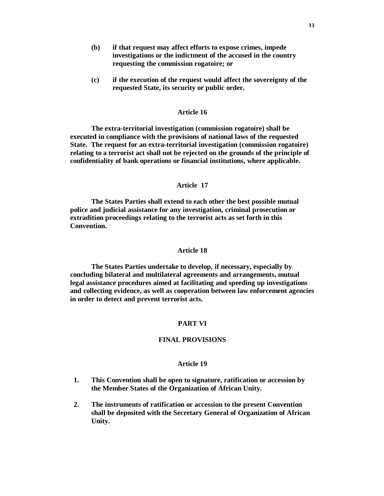- **(b) if that request may affect efforts to expose crimes, impede investigations or the indictment of the accused in the country requesting the commission rogatoire; or**
- **(c) if the execution of the request would affect the sovereignty of the requested State, its security or public order.**

**The extra-territorial investigation (commission rogatoire) shall be executed in compliance with the provisions of national laws of the requested State. The request for an extra-territorial investigation (commission rogatoire) relating to a terrorist act shall not be rejected on the grounds of the principle of confidentiality of bank operations or financial institutions, where applicable.**

#### **Article 17**

**The States Parties shall extend to each other the best possible mutual police and judicial assistance for any investigation, criminal prosecution or extradition proceedings relating to the terrorist acts as set forth in this Convention.**

#### **Article 18**

**The States Parties undertake to develop, if necessary, especially by concluding bilateral and multilateral agreements and arrangements, mutual legal assistance procedures aimed at facilitating and speeding up investigations and collecting evidence, as well as cooperation between law enforcement agencies in order to detect and prevent terrorist acts.**

#### **PART VI**

### **FINAL PROVISIONS**

#### **Article 19**

- **1. This Convention shall be open to signature, ratification or accession by the Member States of the Organization of African Unity.**
- **2. The instruments of ratification or accession to the present Convention shall be deposited with the Secretary General of Organization of African Unity.**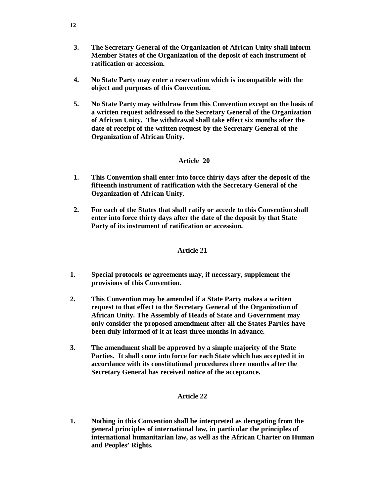- **3. The Secretary General of the Organization of African Unity shall inform Member States of the Organization of the deposit of each instrument of ratification or accession.**
- **4. No State Party may enter a reservation which is incompatible with the object and purposes of this Convention.**
- **5. No State Party may withdraw from this Convention except on the basis of a written request addressed to the Secretary General of the Organization of African Unity. The withdrawal shall take effect six months after the date of receipt of the written request by the Secretary General of the Organization of African Unity.**

- **1. This Convention shall enter into force thirty days after the deposit of the fifteenth instrument of ratification with the Secretary General of the Organization of African Unity.**
- **2. For each of the States that shall ratify or accede to this Convention shall enter into force thirty days after the date of the deposit by that State Party of its instrument of ratification or accession.**

## **Article 21**

- **1. Special protocols or agreements may, if necessary, supplement the provisions of this Convention.**
- **2. This Convention may be amended if a State Party makes a written request to that effect to the Secretary General of the Organization of African Unity. The Assembly of Heads of State and Government may only consider the proposed amendment after all the States Parties have been duly informed of it at least three months in advance.**
- **3. The amendment shall be approved by a simple majority of the State Parties. It shall come into force for each State which has accepted it in accordance with its constitutional procedures three months after the Secretary General has received notice of the acceptance.**

# **Article 22**

**1. Nothing in this Convention shall be interpreted as derogating from the general principles of international law, in particular the principles of international humanitarian law, as well as the African Charter on Human and Peoples' Rights.**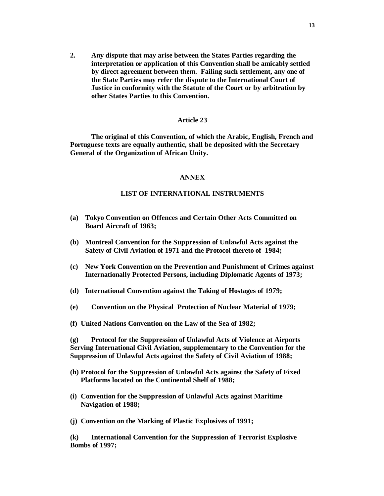**2. Any dispute that may arise between the States Parties regarding the interpretation or application of this Convention shall be amicably settled by direct agreement between them. Failing such settlement, any one of the State Parties may refer the dispute to the International Court of Justice in conformity with the Statute of the Court or by arbitration by other States Parties to this Convention.**

### **Article 23**

**The original of this Convention, of which the Arabic, English, French and Portuguese texts are equally authentic, shall be deposited with the Secretary General of the Organization of African Unity.**

### **ANNEX**

## **LIST OF INTERNATIONAL INSTRUMENTS**

- **(a) Tokyo Convention on Offences and Certain Other Acts Committed on Board Aircraft of 1963;**
- **(b) Montreal Convention for the Suppression of Unlawful Acts against the Safety of Civil Aviation of 1971 and the Protocol thereto of 1984;**
- **(c) New York Convention on the Prevention and Punishment of Crimes against Internationally Protected Persons, including Diplomatic Agents of 1973;**
- **(d) International Convention against the Taking of Hostages of 1979;**
- **(e) Convention on the Physical Protection of Nuclear Material of 1979;**
- **(f) United Nations Convention on the Law of the Sea of 1982;**

**(g) Protocol for the Suppression of Unlawful Acts of Violence at Airports Serving International Civil Aviation, supplementary to the Convention for the Suppression of Unlawful Acts against the Safety of Civil Aviation of 1988;**

- **(h) Protocol for the Suppression of Unlawful Acts against the Safety of Fixed Platforms located on the Continental Shelf of 1988;**
- **(i) Convention for the Suppression of Unlawful Acts against Maritime Navigation of 1988;**
- **(j) Convention on the Marking of Plastic Explosives of 1991;**

**(k) International Convention for the Suppression of Terrorist Explosive Bombs of 1997;**